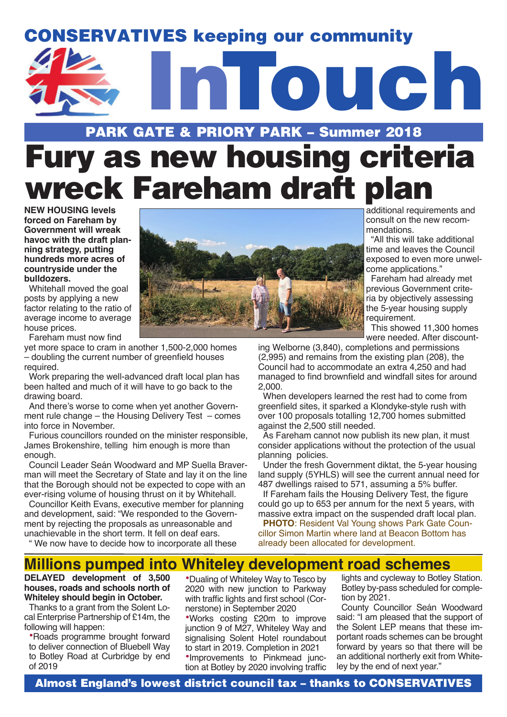## CONSERVATIVES keeping our community



# PARK GATE & PRIORY PARK – Summer 2018 Fury as new housing criteria wreck Fareham draft plan

**NEW HOUSING levels forced on Fareham by Government will wreak havoc with the draft planning strategy, putting hundreds more acres of countryside under the bulldozers.**

Whitehall moved the goal posts by applying a new factor relating to the ratio of average income to average house prices.

Fareham must now find

yet more space to cram in another 1,500-2,000 homes – doubling the current number of greenfield houses required.

Work preparing the well-advanced draft local plan has been halted and much of it will have to go back to the drawing board.

And there's worse to come when yet another Government rule change – the Housing Delivery Test – comes into force in November.

Furious councillors rounded on the minister responsible, James Brokenshire, telling him enough is more than enough.

Council Leader Seán Woodward and MP Suella Braverman will meet the Secretary of State and lay it on the line that the Borough should not be expected to cope with an ever-rising volume of housing thrust on it by Whitehall.

Councillor Keith Evans, executive member for planning and development, said: "We responded to the Government by rejecting the proposals as unreasonable and unachievable in the short term. It fell on deaf ears.

" We now have to decide how to incorporate all these

additional requirements and consult on the new recommendations.

"All this will take additional time and leaves the Council exposed to even more unwelcome applications."

Fareham had already met previous Government criteria by objectively assessing the 5-year housing supply requirement.

This showed 11,300 homes were needed. After discount-

ing Welborne (3,840), completions and permissions (2,995) and remains from the existing plan (208), the Council had to accommodate an extra 4,250 and had managed to find brownfield and windfall sites for around 2,000.

When developers learned the rest had to come from greenfield sites, it sparked a Klondyke-style rush with over 100 proposals totalling 12,700 homes submitted against the 2,500 still needed.

As Fareham cannot now publish its new plan, it must consider applications without the protection of the usual planning policies.

Under the fresh Government diktat, the 5-year housing land supply (5YHLS) will see the current annual need for 487 dwellings raised to 571, assuming a 5% buffer.

If Fareham fails the Housing Delivery Test, the figure could go up to 653 per annum for the next 5 years, with massive extra impact on the suspended draft local plan.

**PHOTO**: Resident Val Young shows Park Gate Councillor Simon Martin where land at Beacon Bottom has already been allocated for development.

### **Millions pumped into Whiteley development road schemes**

**DELAYED development of 3,500 houses, roads and schools north of Whiteley should begin in October.** 

Thanks to a grant from the Solent Local Enterprise Partnership of £14m, the following will happen:

•Roads programme brought forward to deliver connection of Bluebell Way to Botley Road at Curbridge by end of 2019

•Dualing of Whiteley Way to Tesco by 2020 with new junction to Parkway with traffic lights and first school (Cornerstone) in September 2020

•Works costing £20m to improve junction 9 of M27, Whiteley Way and signalising Solent Hotel roundabout to start in 2019. Completion in 2021 •Improvements to Pinkmead junction at Botley by 2020 involving traffic lights and cycleway to Botley Station. Botley by-pass scheduled for completion by 2021.

County Councillor Seán Woodward said: "I am pleased that the support of the Solent LEP means that these important roads schemes can be brought forward by years so that there will be an additional northerly exit from Whiteley by the end of next year."

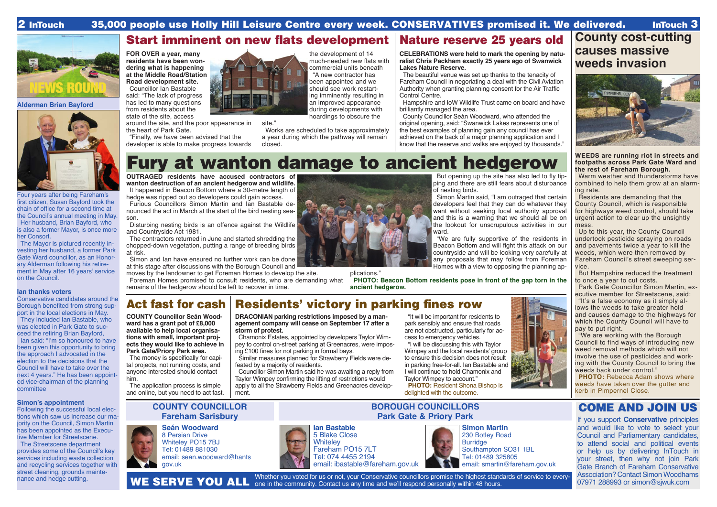**Alderman Brian Bayford**

Four years after being Fareham's first citizen, Susan Bayford took the chain of office for a second time at the Council's annual meeting in May. Her husband, Brian Bayford, who is also a former Mayor, is once more

her Consort.

The Mayor is pictured recently investing her husband, a former Park Gate Ward councillor, as an Honorary Alderman following his retirement in May after 16 years' service

on the Council.

**Ian thanks voters**

# Start imminent on new flats development | Nature reserve 25 years old

site."

Following the successful local elections which saw us increase our majority on the Council, Simon Martin has been appointed as the Executive Member for Streetscene. The Streetscene department provides some of the Council's key services including waste collection and recycling services together with street cleaning, grounds mainte-<br>nance and hedge cutting.

port in the local elections in May. They included Ian Bastable, who was elected in Park Gate to succeed the retiring Brian Bayford, Ian said: "I'm so honoured to have been given this opportunity to bring the approach I advocated in the election to the decisions that the Council will have to take over the next 4 years." He has been appointed vice-chairman of the planning

committee

**Simon's appointment**

**Seán Woodward** 8 Persian Drive Whiteley PO15 7BJ Tel: 01489 881030 email: sean.woodward@hants gov.uk

### Conservative candidates around the Borough benefited from strong sup-Act fast for cash Residents' victory in parking fines row

**COUNTY COUNCILLOR Fareham Sarisbury**

**BOROUGH COUNCILLORS Park Gate & Priory Park**

### COME AND JOIN US

If you support **Conservative** principles and would like to vote to select your Council and Parliamentary candidates, to attend social and political events or help us by delivering InTouch in your street, then why not join Park Gate Branch of Fareham Conservative Association? Contact Simon Woodhams 07971 288993 or simon@sjwuk.com





5 Blake Close **Whitelev** Fareham PO15 7LT Tel: 074 4455 2194 email: ibastable@fareham.gov.uk



### 2 InTouch 35,000 people use Holly Hill Leisure Centre every week. CONSERVATIVES promised it. We delivered. InTouch 3



**COUNTY Councillor Seán Woodward has a grant pot of £8,000 available to help local organisations with small, important projects they would like to achieve in Park Gate/Priory Park area.** 

The money is specifically for capital projects, not running costs, and anyone interested should contact him.

The application process is simple and online, but you need to act fast.

**DRACONIAN parking restrictions imposed by a management company will cease on September 17 after a storm of protest.**

Chamonix Estates, appointed by developers Taylor Wimpey to control on-street parking at Greenacres, were imposing £100 fines for not parking in formal bays.

Similar measures planned for Strawberry Fields were defeated by a majority of residents.

Councillor Simon Martin said he was awaiting a reply from Taylor Wimpey confirming the lifting of restrictions would apply to all the Strawberry Fields and Greenacres development.

**PHOTO:** Rebecca Adam shows where weeds have taken over the gutter and kerb in Pimpernel Close.

"It will be important for residents to park sensibly and ensure that roads are not obstructed, particularly for access to emergency vehicles.

"I will be discussing this with Taylor Wimpey and the local residents' group to ensure this decision does not result in parking free-for-all. Ian Bastable and I will continue to hold Chamonix and Taylor Wimpey to account."





**FOR OVER a year, many residents have been wondering what is happening at the Middle Road/Station Road development site.**

Councillor Ian Bastable said: "The lack of progress has led to many questions from residents about the state of the site, access

around the site, and the poor appearance in the heart of Park Gate.

"Finally, we have been advised that the developer is able to make progress towards the development of 14 much-needed new flats with commercial units beneath "A new contractor has been appointed and we should see work restarting imminently resulting in an improved appearance during developments with hoardings to obscure the

Works are scheduled to take approximately a year during which the pathway will remain closed.

**CELEBRATIONS were held to mark the opening by naturalist Chris Packham exactly 25 years ago of Swanwick Lakes Nature Reserve.**

The beautiful venue was set up thanks to the tenacity of Fareham Council in negoriating a deal with the Civil Aviation Authority when granting planning consent for the Air Traffic Control Centre.

Hampshire and IoW Wildlife Trust came on board and have brilliantly managed the area.

County Councillor Seán Woodward, who attended the original opening, said: "Swanwick Lakes represents one of the best examples of planning gain any council has ever achieved on the back of a major planning application and I know that the reserve and walks are enjoyed by thousands."

> **Simon Martin** 230 Botley Road Burridge Southampton SO31 1BL Tel: 01489 325805 email: smartin@fareham.gov.uk

nance and hedge cutting. WHE SERVE VOIL ALL are in the community. Center to each wall accouncillors promise the highest standards of service to every-WE SERVE YOU ALL one in the community. Contact us any time and we'll respond personally within 48 hours.





# **County cost-cutting causes massive weeds invasion**



### **WEEDS are running riot in streets and footpaths across Park Gate Ward and the rest of Fareham Borough.**

Warm weather and thunderstorms have combined to help them grow at an alarming rate.

Residents are demanding that the County Council, which is responsible for highways weed control, should take urgent action to clear up the unsightly mess.

Up to this year, the County Council undertook pesticide spraying on roads and pavements twice a year to kill the weeds, which were then removed by Fareham Council's street sweeping service.

But Hampshire reduced the treatment to once a year to cut costs.

Park Gate Councillor Simon Martin, executive member for Streetscene, said: "It's a false economy as it simply allows the weeds to take greater hold and causes damage to the highways for which the County Council will have to pay to put right.

"We are working with the Borough Council to find ways of introducing new weed removal methods which will not involve the use of pesticides and working with the County Council to bring the weeds back under control."

# Fury at wanton damage to ancient hedgerow

**OUTRAGED residents have accused contractors of wanton destruction of an ancient hedgerow and wildlife.** It happened in Beacon Bottom where a 30-metre length of

hedge was ripped out so developers could gain access.

Furious Councillors Simon Martin and Ian Bastable denounced the act in March at the start of the bird nesting season.

Disturbing nesting birds is an offence against the Wildlife and Countryside Act 1981.

The contractors returned in June and started shredding the chopped-down vegetation, putting a range of breeding birds at risk.

Simon and Ian have ensured no further work can be done at this stage after discussions with the Borough Council and

moves by the landowner to get Foreman Homes to develop the site. Foreman Homes promised to consult residents, who are demanding what remains of the hedgerow should be left to recover in time.



But opening up the site has also led to fly tipping and there are still fears about disturbance of nesting birds.

Simon Martin said, "I am outraged that certain developers feel that they can do whatever they want without seeking local authority approval and this is a warning that we should all be on the lookout for unscrupulous activities in our ward.

"We are fully supportive of the residents in Beacon Bottom and will fight this attack on our countryside and will be looking very carefully at any proposals that may follow from Foreman Homes with a view to opposing the planning ap-

plications." **PHOTO: Beacon Bottom residents pose in front of the gap torn in the ancient hedgerow.**